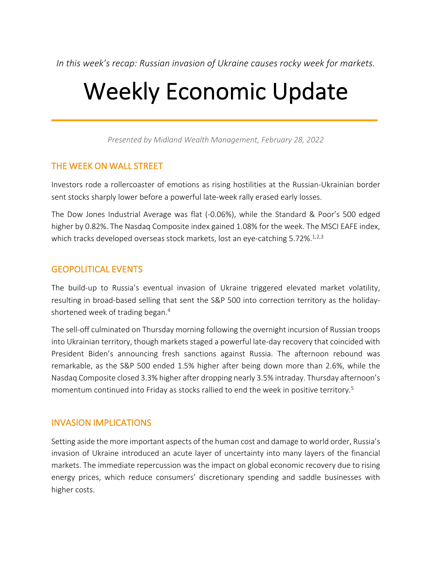*In this week's recap: Russian invasion of Ukraine causes rocky week for markets.*

# Weekly Economic Update

*Presented by Midland Wealth Management, February 28, 2022*

## THE WEEK ON WALL STREET

Investors rode a rollercoaster of emotions as rising hostilities at the Russian-Ukrainian border sent stocks sharply lower before a powerful late-week rally erased early losses.

The Dow Jones Industrial Average was flat (-0.06%), while the Standard & Poor's 500 edged higher by 0.82%. The Nasdaq Composite index gained 1.08% for the week. The MSCI EAFE index, which tracks developed overseas stock markets, lost an eye-catching 5.72%.<sup>1,2,3</sup>

## GEOPOLITICAL EVENTS

The build-up to Russia's eventual invasion of Ukraine triggered elevated market volatility, resulting in broad-based selling that sent the S&P 500 into correction territory as the holidayshortened week of trading began.4

The sell-off culminated on Thursday morning following the overnight incursion of Russian troops into Ukrainian territory, though markets staged a powerful late-day recovery that coincided with President Biden's announcing fresh sanctions against Russia. The afternoon rebound was remarkable, as the S&P 500 ended 1.5% higher after being down more than 2.6%, while the Nasdaq Composite closed 3.3% higher after dropping nearly 3.5% intraday. Thursday afternoon's momentum continued into Friday as stocks rallied to end the week in positive territory.<sup>5</sup>

### INVASION IMPLICATIONS

Setting aside the more important aspects of the human cost and damage to world order, Russia's invasion of Ukraine introduced an acute layer of uncertainty into many layers of the financial markets. The immediate repercussion was the impact on global economic recovery due to rising energy prices, which reduce consumers' discretionary spending and saddle businesses with higher costs.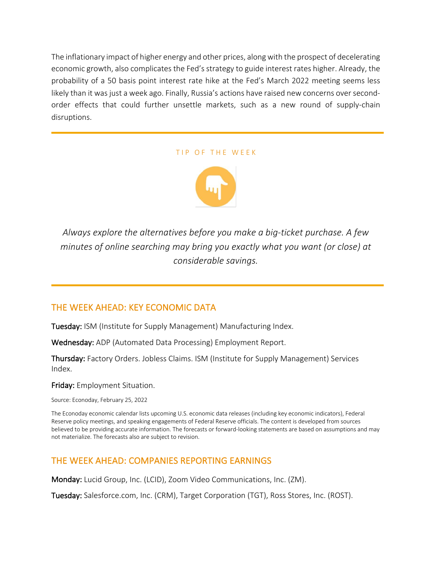The inflationary impact of higher energy and other prices, along with the prospect of decelerating economic growth, also complicates the Fed's strategy to guide interest rates higher. Already, the probability of a 50 basis point interest rate hike at the Fed's March 2022 meeting seems less likely than it was just a week ago. Finally, Russia's actions have raised new concerns over secondorder effects that could further unsettle markets, such as a new round of supply-chain disruptions.

#### TIP OF THE WEEK



*Always explore the alternatives before you make a big-ticket purchase. A few minutes of online searching may bring you exactly what you want (or close) at considerable savings.*

## THE WEEK AHEAD: KEY ECONOMIC DATA

Tuesday: ISM (Institute for Supply Management) Manufacturing Index.

Wednesday: ADP (Automated Data Processing) Employment Report.

Thursday: Factory Orders. Jobless Claims. ISM (Institute for Supply Management) Services Index.

Friday: Employment Situation.

Source: Econoday, February 25, 2022

The Econoday economic calendar lists upcoming U.S. economic data releases (including key economic indicators), Federal Reserve policy meetings, and speaking engagements of Federal Reserve officials. The content is developed from sources believed to be providing accurate information. The forecasts or forward-looking statements are based on assumptions and may not materialize. The forecasts also are subject to revision.

## THE WEEK AHEAD: COMPANIES REPORTING EARNINGS

Monday: Lucid Group, Inc. (LCID), Zoom Video Communications, Inc. (ZM).

Tuesday: Salesforce.com, Inc. (CRM), Target Corporation (TGT), Ross Stores, Inc. (ROST).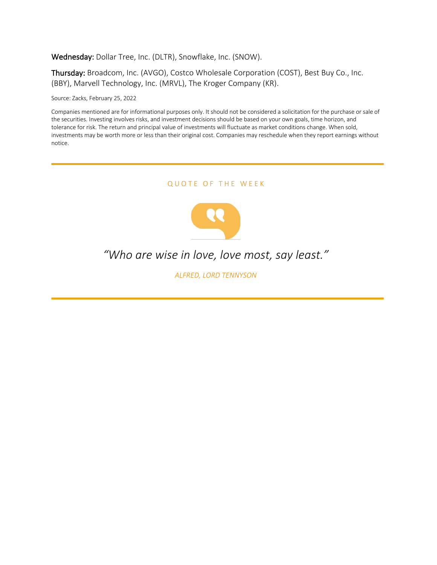#### Wednesday: Dollar Tree, Inc. (DLTR), Snowflake, Inc. (SNOW).

Thursday: Broadcom, Inc. (AVGO), Costco Wholesale Corporation (COST), Best Buy Co., Inc. (BBY), Marvell Technology, Inc. (MRVL), The Kroger Company (KR).

Source: Zacks, February 25, 2022

Companies mentioned are for informational purposes only. It should not be considered a solicitation for the purchase or sale of the securities. Investing involves risks, and investment decisions should be based on your own goals, time horizon, and tolerance for risk. The return and principal value of investments will fluctuate as market conditions change. When sold, investments may be worth more or less than their original cost. Companies may reschedule when they report earnings without notice.

QUOTE OF THE WEEK



## *"Who are wise in love, love most, say least."*

*ALFRED, LORD TENNYSON*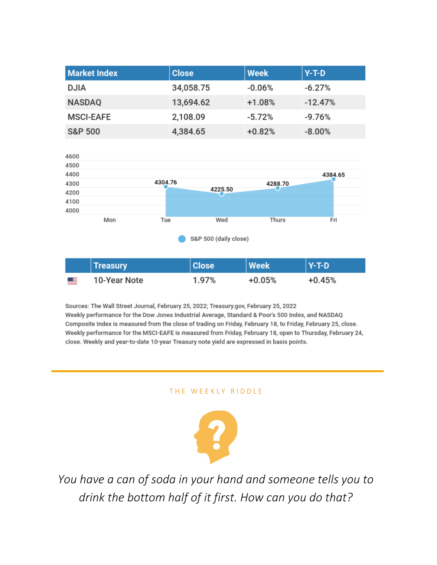| <b>Market Index</b> | <b>Close</b> | <b>Week</b> | $Y-T-D$   |
|---------------------|--------------|-------------|-----------|
| <b>DJIA</b>         | 34,058.75    | $-0.06%$    | $-6.27%$  |
| <b>NASDAQ</b>       | 13,694.62    | $+1.08%$    | $-12.47%$ |
| <b>MSCI-EAFE</b>    | 2,108.09     | $-5.72%$    | $-9.76%$  |
| <b>S&amp;P 500</b>  | 4,384.65     | $+0.82%$    | $-8.00\%$ |



|           | <b>Treasury</b> | <b>Close</b> | <b>Week</b> | $Y-T-D$  |
|-----------|-----------------|--------------|-------------|----------|
| <u>ma</u> | 10-Year Note    | 1.97%        | +0.05%      | $+0.45%$ |

Sources: The Wall Street Journal, February 25, 2022; Treasury.gov, February 25, 2022 Weekly performance for the Dow Jones Industrial Average, Standard & Poor's 500 Index, and NASDAQ Composite Index is measured from the close of trading on Friday, February 18, to Friday, February 25, close. Weekly performance for the MSCI-EAFE is measured from Friday, February 18, open to Thursday, February 24, close. Weekly and year-to-date 10-year Treasury note yield are expressed in basis points.

#### THE WEEKLY RIDDLE



*You have a can of soda in your hand and someone tells you to drink the bottom half of it first. How can you do that?*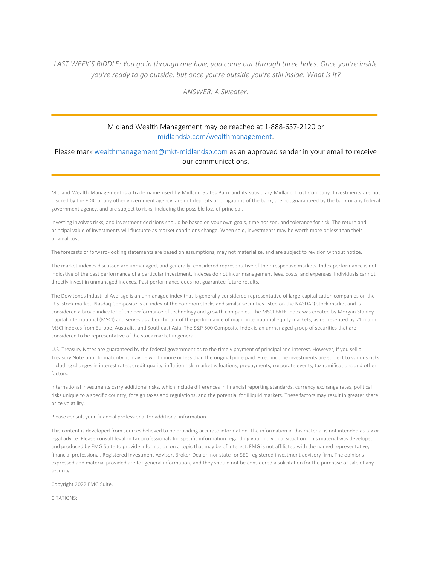*LAST WEEK'S RIDDLE: You go in through one hole, you come out through three holes. Once you're inside you're ready to go outside, but once you're outside you're still inside. What is it?*

*ANSWER: A Sweater.*

#### Midland Wealth Management may be reached at 1-888-637-2120 or midlandsb.com/wealthmanagement.

#### Please mark wealthmanagement@mkt-midlandsb.com as an approved sender in your email to receive our communications.

Midland Wealth Management is a trade name used by Midland States Bank and its subsidiary Midland Trust Company. Investments are not insured by the FDIC or any other government agency, are not deposits or obligations of the bank, are not guaranteed by the bank or any federal government agency, and are subject to risks, including the possible loss of principal.

Investing involves risks, and investment decisions should be based on your own goals, time horizon, and tolerance for risk. The return and principal value of investments will fluctuate as market conditions change. When sold, investments may be worth more or less than their original cost.

The forecasts or forward-looking statements are based on assumptions, may not materialize, and are subject to revision without notice.

The market indexes discussed are unmanaged, and generally, considered representative of their respective markets. Index performance is not indicative of the past performance of a particular investment. Indexes do not incur management fees, costs, and expenses. Individuals cannot directly invest in unmanaged indexes. Past performance does not guarantee future results.

The Dow Jones Industrial Average is an unmanaged index that is generally considered representative of large-capitalization companies on the U.S. stock market. Nasdaq Composite is an index of the common stocks and similar securities listed on the NASDAQ stock market and is considered a broad indicator of the performance of technology and growth companies. The MSCI EAFE Index was created by Morgan Stanley Capital International (MSCI) and serves as a benchmark of the performance of major international equity markets, as represented by 21 major MSCI indexes from Europe, Australia, and Southeast Asia. The S&P 500 Composite Index is an unmanaged group of securities that are considered to be representative of the stock market in general.

U.S. Treasury Notes are guaranteed by the federal government as to the timely payment of principal and interest. However, if you sell a Treasury Note prior to maturity, it may be worth more or less than the original price paid. Fixed income investments are subject to various risks including changes in interest rates, credit quality, inflation risk, market valuations, prepayments, corporate events, tax ramifications and other factors.

International investments carry additional risks, which include differences in financial reporting standards, currency exchange rates, political risks unique to a specific country, foreign taxes and regulations, and the potential for illiquid markets. These factors may result in greater share price volatility.

Please consult your financial professional for additional information.

This content is developed from sources believed to be providing accurate information. The information in this material is not intended as tax or legal advice. Please consult legal or tax professionals for specific information regarding your individual situation. This material was developed and produced by FMG Suite to provide information on a topic that may be of interest. FMG is not affiliated with the named representative, financial professional, Registered Investment Advisor, Broker-Dealer, nor state- or SEC-registered investment advisory firm. The opinions expressed and material provided are for general information, and they should not be considered a solicitation for the purchase or sale of any security.

Copyright 2022 FMG Suite.

CITATIONS: